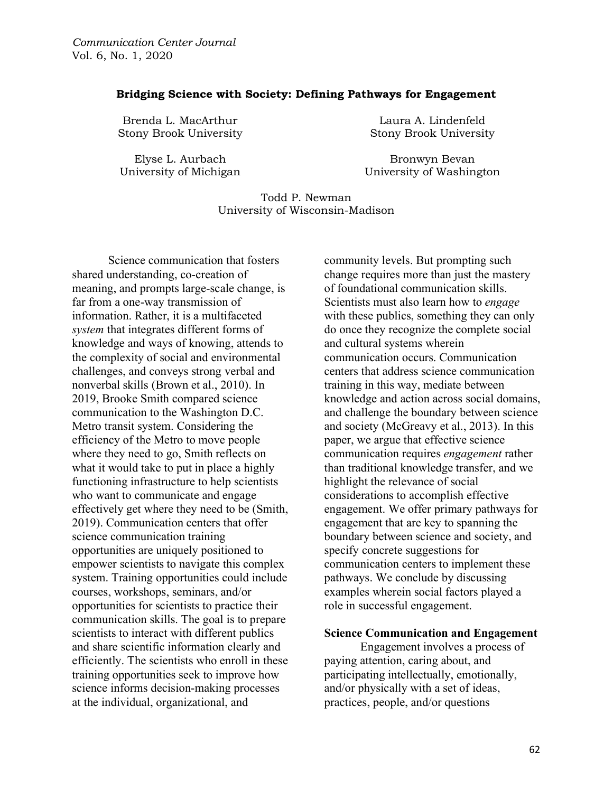#### **Bridging Science with Society: Defining Pathways for Engagement**

Brenda L. MacArthur Stony Brook University

Elyse L. Aurbach University of Michigan

Laura A. Lindenfeld Stony Brook University

Bronwyn Bevan University of Washington

### Todd P. Newman University of Wisconsin-Madison

Science communication that fosters shared understanding, co-creation of meaning, and prompts large-scale change, is far from a one-way transmission of information. Rather, it is a multifaceted *system* that integrates different forms of knowledge and ways of knowing, attends to the complexity of social and environmental challenges, and conveys strong verbal and nonverbal skills (Brown et al., 2010). In 2019, Brooke Smith compared science communication to the Washington D.C. Metro transit system. Considering the efficiency of the Metro to move people where they need to go, Smith reflects on what it would take to put in place a highly functioning infrastructure to help scientists who want to communicate and engage effectively get where they need to be (Smith, 2019). Communication centers that offer science communication training opportunities are uniquely positioned to empower scientists to navigate this complex system. Training opportunities could include courses, workshops, seminars, and/or opportunities for scientists to practice their communication skills. The goal is to prepare scientists to interact with different publics and share scientific information clearly and efficiently. The scientists who enroll in these training opportunities seek to improve how science informs decision-making processes at the individual, organizational, and

community levels. But prompting such change requires more than just the mastery of foundational communication skills. Scientists must also learn how to *engage* with these publics, something they can only do once they recognize the complete social and cultural systems wherein communication occurs. Communication centers that address science communication training in this way, mediate between knowledge and action across social domains, and challenge the boundary between science and society (McGreavy et al., 2013). In this paper, we argue that effective science communication requires *engagement* rather than traditional knowledge transfer, and we highlight the relevance of social considerations to accomplish effective engagement. We offer primary pathways for engagement that are key to spanning the boundary between science and society, and specify concrete suggestions for communication centers to implement these pathways. We conclude by discussing examples wherein social factors played a role in successful engagement.

### **Science Communication and Engagement**

Engagement involves a process of paying attention, caring about, and participating intellectually, emotionally, and/or physically with a set of ideas, practices, people, and/or questions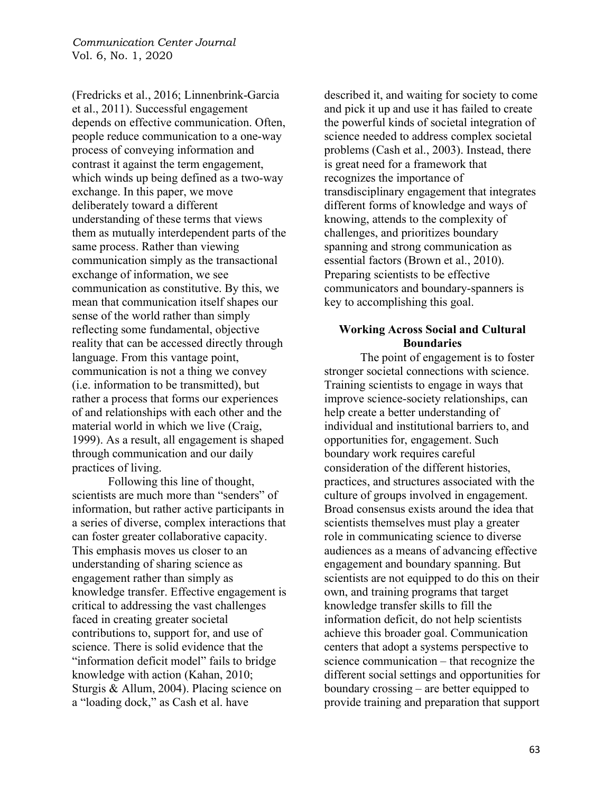(Fredricks et al., 2016; Linnenbrink-Garcia et al., 2011). Successful engagement depends on effective communication. Often, people reduce communication to a one-way process of conveying information and contrast it against the term engagement, which winds up being defined as a two-way exchange. In this paper, we move deliberately toward a different understanding of these terms that views them as mutually interdependent parts of the same process. Rather than viewing communication simply as the transactional exchange of information, we see communication as constitutive. By this, we mean that communication itself shapes our sense of the world rather than simply reflecting some fundamental, objective reality that can be accessed directly through language. From this vantage point, communication is not a thing we convey (i.e. information to be transmitted), but rather a process that forms our experiences of and relationships with each other and the material world in which we live (Craig, 1999). As a result, all engagement is shaped through communication and our daily practices of living.

Following this line of thought, scientists are much more than "senders" of information, but rather active participants in a series of diverse, complex interactions that can foster greater collaborative capacity. This emphasis moves us closer to an understanding of sharing science as engagement rather than simply as knowledge transfer. Effective engagement is critical to addressing the vast challenges faced in creating greater societal contributions to, support for, and use of science. There is solid evidence that the "information deficit model" fails to bridge knowledge with action (Kahan, 2010; Sturgis & Allum, 2004). Placing science on a "loading dock," as Cash et al. have

described it, and waiting for society to come and pick it up and use it has failed to create the powerful kinds of societal integration of science needed to address complex societal problems (Cash et al., 2003). Instead, there is great need for a framework that recognizes the importance of transdisciplinary engagement that integrates different forms of knowledge and ways of knowing, attends to the complexity of challenges, and prioritizes boundary spanning and strong communication as essential factors (Brown et al., 2010). Preparing scientists to be effective communicators and boundary-spanners is key to accomplishing this goal.

### **Working Across Social and Cultural Boundaries**

The point of engagement is to foster stronger societal connections with science. Training scientists to engage in ways that improve science-society relationships, can help create a better understanding of individual and institutional barriers to, and opportunities for, engagement. Such boundary work requires careful consideration of the different histories, practices, and structures associated with the culture of groups involved in engagement. Broad consensus exists around the idea that scientists themselves must play a greater role in communicating science to diverse audiences as a means of advancing effective engagement and boundary spanning. But scientists are not equipped to do this on their own, and training programs that target knowledge transfer skills to fill the information deficit, do not help scientists achieve this broader goal. Communication centers that adopt a systems perspective to science communication – that recognize the different social settings and opportunities for boundary crossing – are better equipped to provide training and preparation that support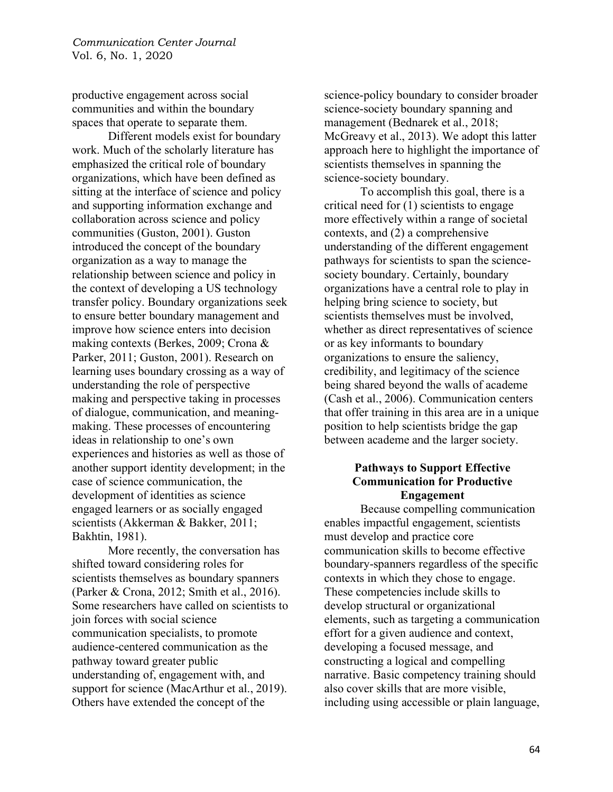productive engagement across social communities and within the boundary spaces that operate to separate them.

Different models exist for boundary work. Much of the scholarly literature has emphasized the critical role of boundary organizations, which have been defined as sitting at the interface of science and policy and supporting information exchange and collaboration across science and policy communities (Guston, 2001). Guston introduced the concept of the boundary organization as a way to manage the relationship between science and policy in the context of developing a US technology transfer policy. Boundary organizations seek to ensure better boundary management and improve how science enters into decision making contexts (Berkes, 2009; Crona & Parker, 2011; Guston, 2001). Research on learning uses boundary crossing as a way of understanding the role of perspective making and perspective taking in processes of dialogue, communication, and meaningmaking. These processes of encountering ideas in relationship to one's own experiences and histories as well as those of another support identity development; in the case of science communication, the development of identities as science engaged learners or as socially engaged scientists (Akkerman & Bakker, 2011; Bakhtin, 1981).

More recently, the conversation has shifted toward considering roles for scientists themselves as boundary spanners (Parker & Crona, 2012; Smith et al., 2016). Some researchers have called on scientists to join forces with social science communication specialists, to promote audience-centered communication as the pathway toward greater public understanding of, engagement with, and support for science (MacArthur et al., 2019). Others have extended the concept of the

science-policy boundary to consider broader science-society boundary spanning and management (Bednarek et al., 2018; McGreavy et al., 2013). We adopt this latter approach here to highlight the importance of scientists themselves in spanning the science-society boundary.

To accomplish this goal, there is a critical need for (1) scientists to engage more effectively within a range of societal contexts, and (2) a comprehensive understanding of the different engagement pathways for scientists to span the sciencesociety boundary. Certainly, boundary organizations have a central role to play in helping bring science to society, but scientists themselves must be involved, whether as direct representatives of science or as key informants to boundary organizations to ensure the saliency, credibility, and legitimacy of the science being shared beyond the walls of academe (Cash et al., 2006). Communication centers that offer training in this area are in a unique position to help scientists bridge the gap between academe and the larger society.

## **Pathways to Support Effective Communication for Productive Engagement**

Because compelling communication enables impactful engagement, scientists must develop and practice core communication skills to become effective boundary-spanners regardless of the specific contexts in which they chose to engage. These competencies include skills to develop structural or organizational elements, such as targeting a communication effort for a given audience and context, developing a focused message, and constructing a logical and compelling narrative. Basic competency training should also cover skills that are more visible, including using accessible or plain language,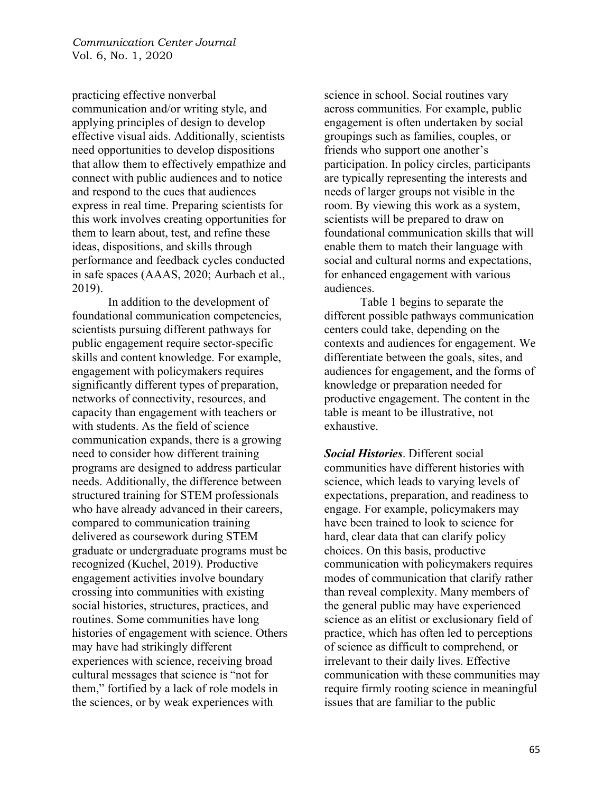practicing effective nonverbal communication and/or writing style, and applying principles of design to develop effective visual aids. Additionally, scientists need opportunities to develop dispositions that allow them to effectively empathize and connect with public audiences and to notice and respond to the cues that audiences express in real time. Preparing scientists for this work involves creating opportunities for them to learn about, test, and refine these ideas, dispositions, and skills through performance and feedback cycles conducted in safe spaces (AAAS, 2020; Aurbach et al., 2019).

In addition to the development of foundational communication competencies, scientists pursuing different pathways for public engagement require sector-specific skills and content knowledge. For example, engagement with policymakers requires significantly different types of preparation, networks of connectivity, resources, and capacity than engagement with teachers or with students. As the field of science communication expands, there is a growing need to consider how different training programs are designed to address particular needs. Additionally, the difference between structured training for STEM professionals who have already advanced in their careers, compared to communication training delivered as coursework during STEM graduate or undergraduate programs must be recognized (Kuchel, 2019). Productive engagement activities involve boundary crossing into communities with existing social histories, structures, practices, and routines. Some communities have long histories of engagement with science. Others may have had strikingly different experiences with science, receiving broad cultural messages that science is "not for them," fortified by a lack of role models in the sciences, or by weak experiences with

science in school. Social routines vary across communities. For example, public engagement is often undertaken by social groupings such as families, couples, or friends who support one another's participation. In policy circles, participants are typically representing the interests and needs of larger groups not visible in the room. By viewing this work as a system, scientists will be prepared to draw on foundational communication skills that will enable them to match their language with social and cultural norms and expectations, for enhanced engagement with various audiences.

Table 1 begins to separate the different possible pathways communication centers could take, depending on the contexts and audiences for engagement. We differentiate between the goals, sites, and audiences for engagement, and the forms of knowledge or preparation needed for productive engagement. The content in the table is meant to be illustrative, not exhaustive.

*Social Histories*. Different social communities have different histories with science, which leads to varying levels of expectations, preparation, and readiness to engage. For example, policymakers may have been trained to look to science for hard, clear data that can clarify policy choices. On this basis, productive communication with policymakers requires modes of communication that clarify rather than reveal complexity. Many members of the general public may have experienced science as an elitist or exclusionary field of practice, which has often led to perceptions of science as difficult to comprehend, or irrelevant to their daily lives. Effective communication with these communities may require firmly rooting science in meaningful issues that are familiar to the public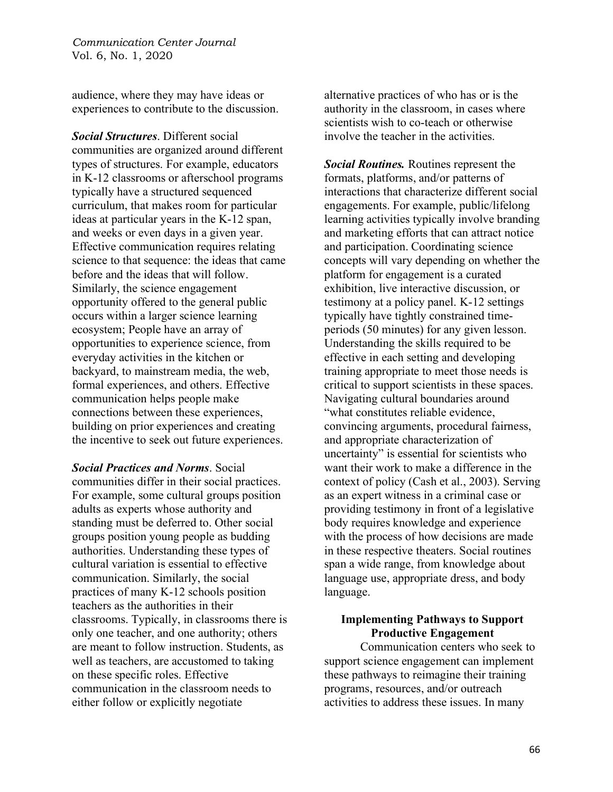audience, where they may have ideas or experiences to contribute to the discussion.

*Social Structures*. Different social communities are organized around different types of structures. For example, educators in K-12 classrooms or afterschool programs typically have a structured sequenced curriculum, that makes room for particular ideas at particular years in the K-12 span, and weeks or even days in a given year. Effective communication requires relating science to that sequence: the ideas that came before and the ideas that will follow. Similarly, the science engagement opportunity offered to the general public occurs within a larger science learning ecosystem; People have an array of opportunities to experience science, from everyday activities in the kitchen or backyard, to mainstream media, the web, formal experiences, and others. Effective communication helps people make connections between these experiences, building on prior experiences and creating the incentive to seek out future experiences.

*Social Practices and Norms*. Social communities differ in their social practices. For example, some cultural groups position adults as experts whose authority and standing must be deferred to. Other social groups position young people as budding authorities. Understanding these types of cultural variation is essential to effective communication. Similarly, the social practices of many K-12 schools position teachers as the authorities in their classrooms. Typically, in classrooms there is only one teacher, and one authority; others are meant to follow instruction. Students, as well as teachers, are accustomed to taking on these specific roles. Effective communication in the classroom needs to either follow or explicitly negotiate

alternative practices of who has or is the authority in the classroom, in cases where scientists wish to co-teach or otherwise involve the teacher in the activities.

*Social Routines.* Routines represent the formats, platforms, and/or patterns of interactions that characterize different social engagements. For example, public/lifelong learning activities typically involve branding and marketing efforts that can attract notice and participation. Coordinating science concepts will vary depending on whether the platform for engagement is a curated exhibition, live interactive discussion, or testimony at a policy panel. K-12 settings typically have tightly constrained timeperiods (50 minutes) for any given lesson. Understanding the skills required to be effective in each setting and developing training appropriate to meet those needs is critical to support scientists in these spaces. Navigating cultural boundaries around "what constitutes reliable evidence, convincing arguments, procedural fairness, and appropriate characterization of uncertainty" is essential for scientists who want their work to make a difference in the context of policy (Cash et al., 2003). Serving as an expert witness in a criminal case or providing testimony in front of a legislative body requires knowledge and experience with the process of how decisions are made in these respective theaters. Social routines span a wide range, from knowledge about language use, appropriate dress, and body language.

### **Implementing Pathways to Support Productive Engagement**

Communication centers who seek to support science engagement can implement these pathways to reimagine their training programs, resources, and/or outreach activities to address these issues. In many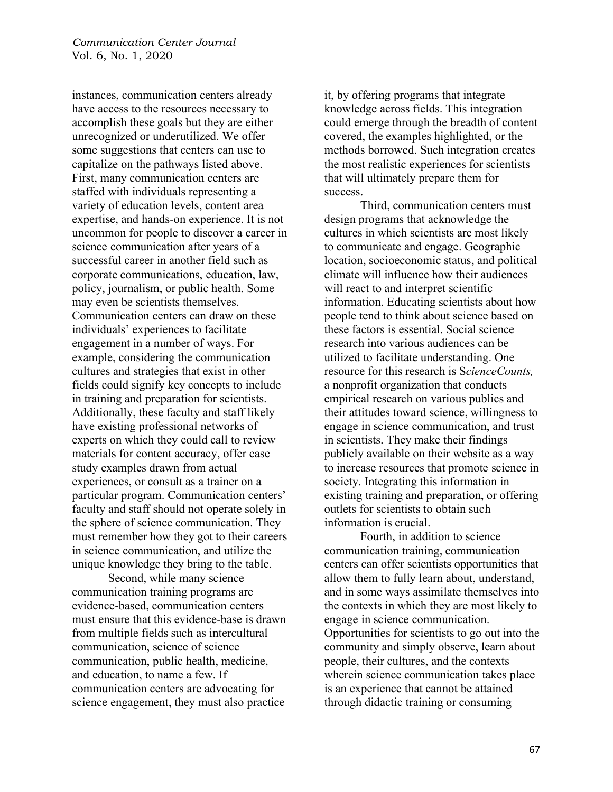instances, communication centers already have access to the resources necessary to accomplish these goals but they are either unrecognized or underutilized. We offer some suggestions that centers can use to capitalize on the pathways listed above. First, many communication centers are staffed with individuals representing a variety of education levels, content area expertise, and hands-on experience. It is not uncommon for people to discover a career in science communication after years of a successful career in another field such as corporate communications, education, law, policy, journalism, or public health. Some may even be scientists themselves. Communication centers can draw on these individuals' experiences to facilitate engagement in a number of ways. For example, considering the communication cultures and strategies that exist in other fields could signify key concepts to include in training and preparation for scientists. Additionally, these faculty and staff likely have existing professional networks of experts on which they could call to review materials for content accuracy, offer case study examples drawn from actual experiences, or consult as a trainer on a particular program. Communication centers' faculty and staff should not operate solely in the sphere of science communication. They must remember how they got to their careers in science communication, and utilize the unique knowledge they bring to the table.

Second, while many science communication training programs are evidence-based, communication centers must ensure that this evidence-base is drawn from multiple fields such as intercultural communication, science of science communication, public health, medicine, and education, to name a few. If communication centers are advocating for science engagement, they must also practice

it, by offering programs that integrate knowledge across fields. This integration could emerge through the breadth of content covered, the examples highlighted, or the methods borrowed. Such integration creates the most realistic experiences for scientists that will ultimately prepare them for success.

Third, communication centers must design programs that acknowledge the cultures in which scientists are most likely to communicate and engage. Geographic location, socioeconomic status, and political climate will influence how their audiences will react to and interpret scientific information. Educating scientists about how people tend to think about science based on these factors is essential. Social science research into various audiences can be utilized to facilitate understanding. One resource for this research is S*cienceCounts,* a nonprofit organization that conducts empirical research on various publics and their attitudes toward science, willingness to engage in science communication, and trust in scientists. They make their findings publicly available on their website as a way to increase resources that promote science in society. Integrating this information in existing training and preparation, or offering outlets for scientists to obtain such information is crucial.

Fourth, in addition to science communication training, communication centers can offer scientists opportunities that allow them to fully learn about, understand, and in some ways assimilate themselves into the contexts in which they are most likely to engage in science communication. Opportunities for scientists to go out into the community and simply observe, learn about people, their cultures, and the contexts wherein science communication takes place is an experience that cannot be attained through didactic training or consuming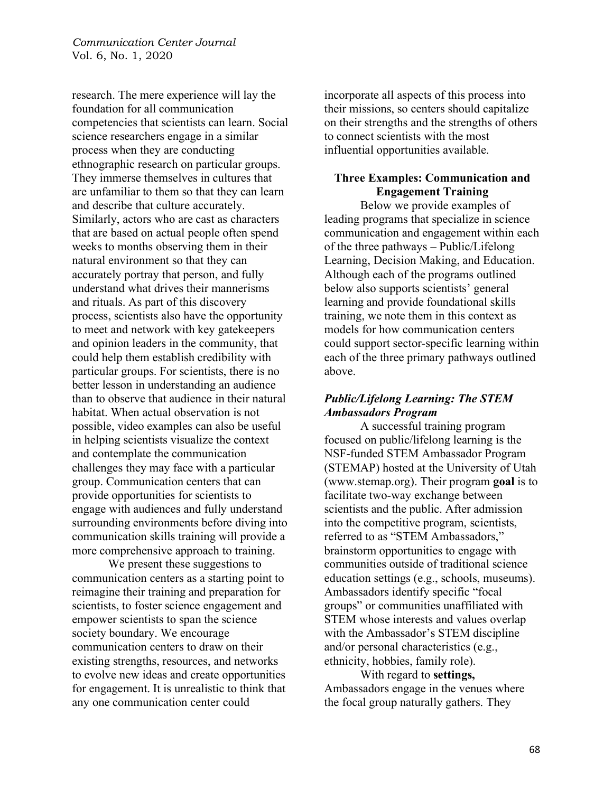research. The mere experience will lay the foundation for all communication competencies that scientists can learn. Social science researchers engage in a similar process when they are conducting ethnographic research on particular groups. They immerse themselves in cultures that are unfamiliar to them so that they can learn and describe that culture accurately. Similarly, actors who are cast as characters that are based on actual people often spend weeks to months observing them in their natural environment so that they can accurately portray that person, and fully understand what drives their mannerisms and rituals. As part of this discovery process, scientists also have the opportunity to meet and network with key gatekeepers and opinion leaders in the community, that could help them establish credibility with particular groups. For scientists, there is no better lesson in understanding an audience than to observe that audience in their natural habitat. When actual observation is not possible, video examples can also be useful in helping scientists visualize the context and contemplate the communication challenges they may face with a particular group. Communication centers that can provide opportunities for scientists to engage with audiences and fully understand surrounding environments before diving into communication skills training will provide a more comprehensive approach to training.

We present these suggestions to communication centers as a starting point to reimagine their training and preparation for scientists, to foster science engagement and empower scientists to span the science society boundary. We encourage communication centers to draw on their existing strengths, resources, and networks to evolve new ideas and create opportunities for engagement. It is unrealistic to think that any one communication center could

incorporate all aspects of this process into their missions, so centers should capitalize on their strengths and the strengths of others to connect scientists with the most influential opportunities available.

## **Three Examples: Communication and Engagement Training**

Below we provide examples of leading programs that specialize in science communication and engagement within each of the three pathways – Public/Lifelong Learning, Decision Making, and Education. Although each of the programs outlined below also supports scientists' general learning and provide foundational skills training, we note them in this context as models for how communication centers could support sector-specific learning within each of the three primary pathways outlined above.

# *Public/Lifelong Learning: The STEM Ambassadors Program*

A successful training program focused on public/lifelong learning is the NSF-funded STEM Ambassador Program (STEMAP) hosted at the University of Utah (www.stemap.org). Their program **goal** is to facilitate two-way exchange between scientists and the public. After admission into the competitive program, scientists, referred to as "STEM Ambassadors," brainstorm opportunities to engage with communities outside of traditional science education settings (e.g., schools, museums). Ambassadors identify specific "focal groups" or communities unaffiliated with STEM whose interests and values overlap with the Ambassador's STEM discipline and/or personal characteristics (e.g., ethnicity, hobbies, family role).

# With regard to **settings,** Ambassadors engage in the venues where the focal group naturally gathers. They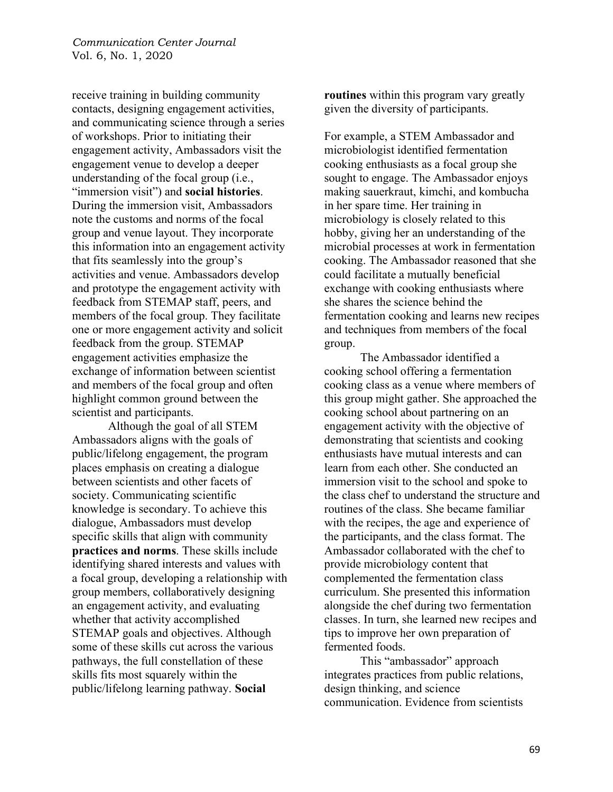receive training in building community contacts, designing engagement activities, and communicating science through a series of workshops. Prior to initiating their engagement activity, Ambassadors visit the engagement venue to develop a deeper understanding of the focal group (i.e., "immersion visit") and **social histories**. During the immersion visit, Ambassadors note the customs and norms of the focal group and venue layout. They incorporate this information into an engagement activity that fits seamlessly into the group's activities and venue. Ambassadors develop and prototype the engagement activity with feedback from STEMAP staff, peers, and members of the focal group. They facilitate one or more engagement activity and solicit feedback from the group. STEMAP engagement activities emphasize the exchange of information between scientist and members of the focal group and often highlight common ground between the scientist and participants.

Although the goal of all STEM Ambassadors aligns with the goals of public/lifelong engagement, the program places emphasis on creating a dialogue between scientists and other facets of society. Communicating scientific knowledge is secondary. To achieve this dialogue, Ambassadors must develop specific skills that align with community **practices and norms**. These skills include identifying shared interests and values with a focal group, developing a relationship with group members, collaboratively designing an engagement activity, and evaluating whether that activity accomplished STEMAP goals and objectives. Although some of these skills cut across the various pathways, the full constellation of these skills fits most squarely within the public/lifelong learning pathway. **Social**

**routines** within this program vary greatly given the diversity of participants.

For example, a STEM Ambassador and microbiologist identified fermentation cooking enthusiasts as a focal group she sought to engage. The Ambassador enjoys making sauerkraut, kimchi, and kombucha in her spare time. Her training in microbiology is closely related to this hobby, giving her an understanding of the microbial processes at work in fermentation cooking. The Ambassador reasoned that she could facilitate a mutually beneficial exchange with cooking enthusiasts where she shares the science behind the fermentation cooking and learns new recipes and techniques from members of the focal group.

The Ambassador identified a cooking school offering a fermentation cooking class as a venue where members of this group might gather. She approached the cooking school about partnering on an engagement activity with the objective of demonstrating that scientists and cooking enthusiasts have mutual interests and can learn from each other. She conducted an immersion visit to the school and spoke to the class chef to understand the structure and routines of the class. She became familiar with the recipes, the age and experience of the participants, and the class format. The Ambassador collaborated with the chef to provide microbiology content that complemented the fermentation class curriculum. She presented this information alongside the chef during two fermentation classes. In turn, she learned new recipes and tips to improve her own preparation of fermented foods.

This "ambassador" approach integrates practices from public relations, design thinking, and science communication. Evidence from scientists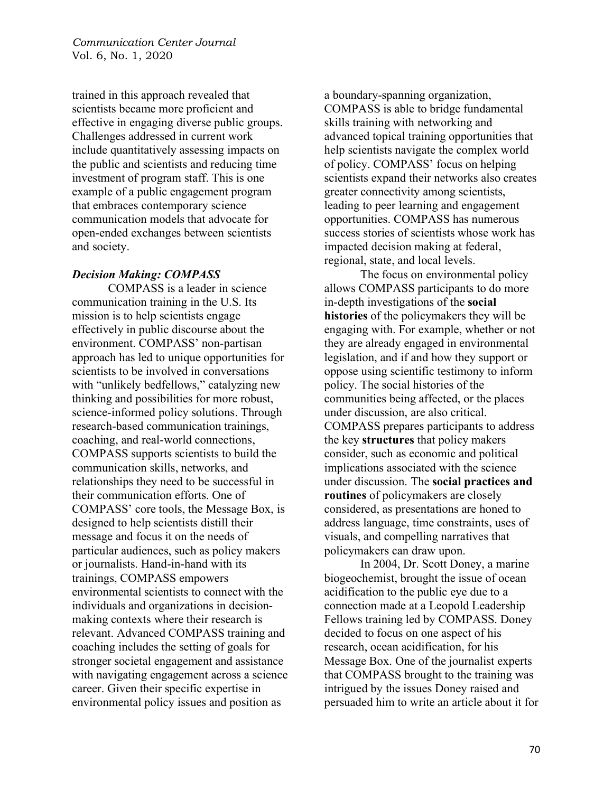trained in this approach revealed that scientists became more proficient and effective in engaging diverse public groups. Challenges addressed in current work include quantitatively assessing impacts on the public and scientists and reducing time investment of program staff. This is one example of a public engagement program that embraces contemporary science communication models that advocate for open-ended exchanges between scientists and society.

#### *Decision Making: COMPASS*

COMPASS is a leader in science communication training in the U.S. Its mission is to help scientists engage effectively in public discourse about the environment. COMPASS' non-partisan approach has led to unique opportunities for scientists to be involved in conversations with "unlikely bedfellows," catalyzing new thinking and possibilities for more robust, science-informed policy solutions. Through research-based communication trainings, coaching, and real-world connections, COMPASS supports scientists to build the communication skills, networks, and relationships they need to be successful in their communication efforts. One of COMPASS' core tools, the Message Box, is designed to help scientists distill their message and focus it on the needs of particular audiences, such as policy makers or journalists. Hand-in-hand with its trainings, COMPASS empowers environmental scientists to connect with the individuals and organizations in decisionmaking contexts where their research is relevant. Advanced COMPASS training and coaching includes the setting of goals for stronger societal engagement and assistance with navigating engagement across a science career. Given their specific expertise in environmental policy issues and position as

a boundary-spanning organization, COMPASS is able to bridge fundamental skills training with networking and advanced topical training opportunities that help scientists navigate the complex world of policy. COMPASS' focus on helping scientists expand their networks also creates greater connectivity among scientists, leading to peer learning and engagement opportunities. COMPASS has numerous success stories of scientists whose work has impacted decision making at federal, regional, state, and local levels.

The focus on environmental policy allows COMPASS participants to do more in-depth investigations of the **social histories** of the policymakers they will be engaging with. For example, whether or not they are already engaged in environmental legislation, and if and how they support or oppose using scientific testimony to inform policy. The social histories of the communities being affected, or the places under discussion, are also critical. COMPASS prepares participants to address the key **structures** that policy makers consider, such as economic and political implications associated with the science under discussion. The **social practices and routines** of policymakers are closely considered, as presentations are honed to address language, time constraints, uses of visuals, and compelling narratives that policymakers can draw upon.

In 2004, Dr. Scott Doney, a marine biogeochemist, brought the issue of ocean acidification to the public eye due to a connection made at a Leopold Leadership Fellows training led by COMPASS. Doney decided to focus on one aspect of his research, ocean acidification, for his Message Box. One of the journalist experts that COMPASS brought to the training was intrigued by the issues Doney raised and persuaded him to write an article about it for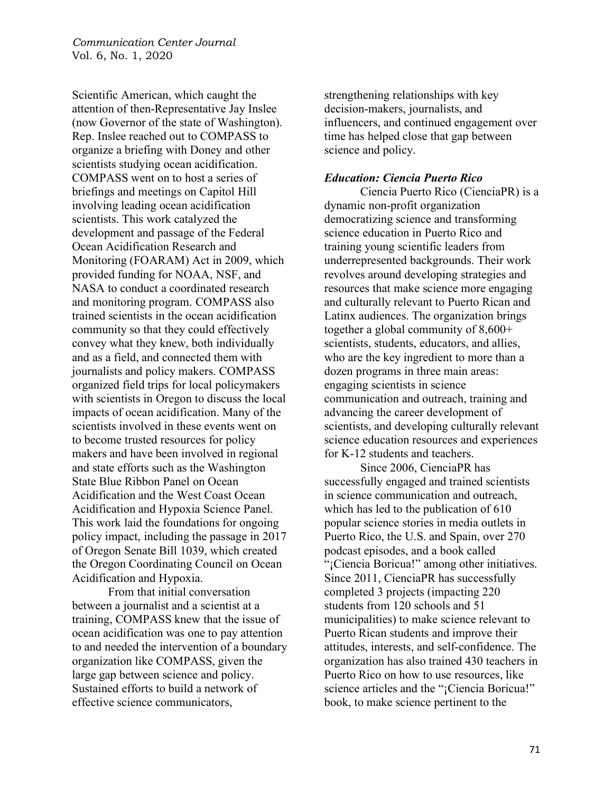Scientific American, which caught the attention of then-Representative Jay Inslee (now Governor of the state of Washington). Rep. Inslee reached out to COMPASS to organize a briefing with Doney and other scientists studying ocean acidification. COMPASS went on to host a series of briefings and meetings on Capitol Hill involving leading ocean acidification scientists. This work catalyzed the development and passage of the Federal Ocean Acidification Research and Monitoring (FOARAM) Act in 2009, which provided funding for NOAA, NSF, and NASA to conduct a coordinated research and monitoring program. COMPASS also trained scientists in the ocean acidification community so that they could effectively convey what they knew, both individually and as a field, and connected them with journalists and policy makers. COMPASS organized field trips for local policymakers with scientists in Oregon to discuss the local impacts of ocean acidification. Many of the scientists involved in these events went on to become trusted resources for policy makers and have been involved in regional and state efforts such as the Washington State Blue Ribbon Panel on Ocean Acidification and the West Coast Ocean Acidification and Hypoxia Science Panel. This work laid the foundations for ongoing policy impact, including the passage in 2017 of Oregon Senate Bill 1039, which created the Oregon Coordinating Council on Ocean Acidification and Hypoxia.

From that initial conversation between a journalist and a scientist at a training, COMPASS knew that the issue of ocean acidification was one to pay attention to and needed the intervention of a boundary organization like COMPASS, given the large gap between science and policy. Sustained efforts to build a network of effective science communicators,

strengthening relationships with key decision-makers, journalists, and influencers, and continued engagement over time has helped close that gap between science and policy.

### *Education: Ciencia Puerto Rico*

Ciencia Puerto Rico (CienciaPR) is a dynamic non-profit organization democratizing science and transforming science education in Puerto Rico and training young scientific leaders from underrepresented backgrounds. Their work revolves around developing strategies and resources that make science more engaging and culturally relevant to Puerto Rican and Latinx audiences. The organization brings together a global community of 8,600+ scientists, students, educators, and allies, who are the key ingredient to more than a dozen programs in three main areas: engaging scientists in science communication and outreach, training and advancing the career development of scientists, and developing culturally relevant science education resources and experiences for K-12 students and teachers.

Since 2006, CienciaPR has successfully engaged and trained scientists in science communication and outreach, which has led to the publication of 610 popular science stories in media outlets in Puerto Rico, the U.S. and Spain, over 270 podcast episodes, and a book called "¡Ciencia Boricua!" among other initiatives. Since 2011, CienciaPR has successfully completed 3 projects (impacting 220 students from 120 schools and 51 municipalities) to make science relevant to Puerto Rican students and improve their attitudes, interests, and self-confidence. The organization has also trained 430 teachers in Puerto Rico on how to use resources, like science articles and the "¡Ciencia Boricua!" book, to make science pertinent to the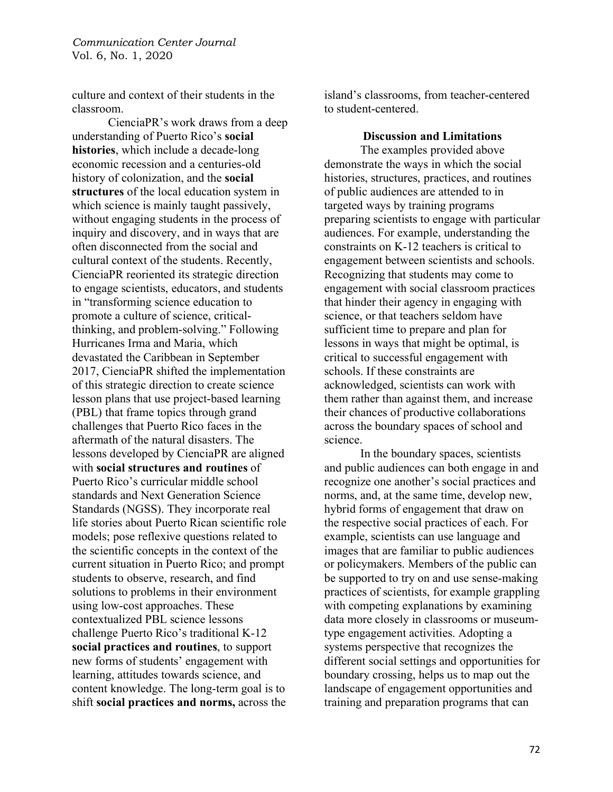culture and context of their students in the classroom.

CienciaPR's work draws from a deep understanding of Puerto Rico's **social histories**, which include a decade-long economic recession and a centuries-old history of colonization, and the **social structures** of the local education system in which science is mainly taught passively, without engaging students in the process of inquiry and discovery, and in ways that are often disconnected from the social and cultural context of the students. Recently, CienciaPR reoriented its strategic direction to engage scientists, educators, and students in "transforming science education to promote a culture of science, criticalthinking, and problem-solving." Following Hurricanes Irma and Maria, which devastated the Caribbean in September 2017, CienciaPR shifted the implementation of this strategic direction to create science lesson plans that use project-based learning (PBL) that frame topics through grand challenges that Puerto Rico faces in the aftermath of the natural disasters. The lessons developed by CienciaPR are aligned with **social structures and routines** of Puerto Rico's curricular middle school standards and Next Generation Science Standards (NGSS). They incorporate real life stories about Puerto Rican scientific role models; pose reflexive questions related to the scientific concepts in the context of the current situation in Puerto Rico; and prompt students to observe, research, and find solutions to problems in their environment using low-cost approaches. These contextualized PBL science lessons challenge Puerto Rico's traditional K-12 **social practices and routines**, to support new forms of students' engagement with learning, attitudes towards science, and content knowledge. The long-term goal is to shift **social practices and norms,** across the

island's classrooms, from teacher-centered to student-centered.

**Discussion and Limitations**

The examples provided above demonstrate the ways in which the social histories, structures, practices, and routines of public audiences are attended to in targeted ways by training programs preparing scientists to engage with particular audiences. For example, understanding the constraints on K-12 teachers is critical to engagement between scientists and schools. Recognizing that students may come to engagement with social classroom practices that hinder their agency in engaging with science, or that teachers seldom have sufficient time to prepare and plan for lessons in ways that might be optimal, is critical to successful engagement with schools. If these constraints are acknowledged, scientists can work with them rather than against them, and increase their chances of productive collaborations across the boundary spaces of school and science.

In the boundary spaces, scientists and public audiences can both engage in and recognize one another's social practices and norms, and, at the same time, develop new, hybrid forms of engagement that draw on the respective social practices of each. For example, scientists can use language and images that are familiar to public audiences or policymakers. Members of the public can be supported to try on and use sense-making practices of scientists, for example grappling with competing explanations by examining data more closely in classrooms or museumtype engagement activities. Adopting a systems perspective that recognizes the different social settings and opportunities for boundary crossing, helps us to map out the landscape of engagement opportunities and training and preparation programs that can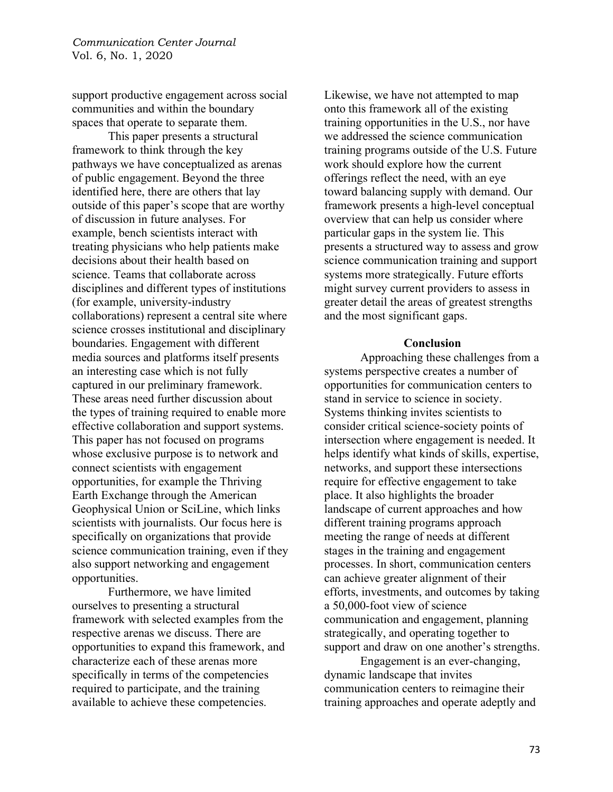support productive engagement across social communities and within the boundary spaces that operate to separate them.

This paper presents a structural framework to think through the key pathways we have conceptualized as arenas of public engagement. Beyond the three identified here, there are others that lay outside of this paper's scope that are worthy of discussion in future analyses. For example, bench scientists interact with treating physicians who help patients make decisions about their health based on science. Teams that collaborate across disciplines and different types of institutions (for example, university-industry collaborations) represent a central site where science crosses institutional and disciplinary boundaries. Engagement with different media sources and platforms itself presents an interesting case which is not fully captured in our preliminary framework. These areas need further discussion about the types of training required to enable more effective collaboration and support systems. This paper has not focused on programs whose exclusive purpose is to network and connect scientists with engagement opportunities, for example the Thriving Earth Exchange through the American Geophysical Union or SciLine, which links scientists with journalists. Our focus here is specifically on organizations that provide science communication training, even if they also support networking and engagement opportunities.

Furthermore, we have limited ourselves to presenting a structural framework with selected examples from the respective arenas we discuss. There are opportunities to expand this framework, and characterize each of these arenas more specifically in terms of the competencies required to participate, and the training available to achieve these competencies.

Likewise, we have not attempted to map onto this framework all of the existing training opportunities in the U.S., nor have we addressed the science communication training programs outside of the U.S. Future work should explore how the current offerings reflect the need, with an eye toward balancing supply with demand. Our framework presents a high-level conceptual overview that can help us consider where particular gaps in the system lie. This presents a structured way to assess and grow science communication training and support systems more strategically. Future efforts might survey current providers to assess in greater detail the areas of greatest strengths and the most significant gaps.

#### **Conclusion**

Approaching these challenges from a systems perspective creates a number of opportunities for communication centers to stand in service to science in society. Systems thinking invites scientists to consider critical science-society points of intersection where engagement is needed. It helps identify what kinds of skills, expertise, networks, and support these intersections require for effective engagement to take place. It also highlights the broader landscape of current approaches and how different training programs approach meeting the range of needs at different stages in the training and engagement processes. In short, communication centers can achieve greater alignment of their efforts, investments, and outcomes by taking a 50,000-foot view of science communication and engagement, planning strategically, and operating together to support and draw on one another's strengths.

Engagement is an ever-changing, dynamic landscape that invites communication centers to reimagine their training approaches and operate adeptly and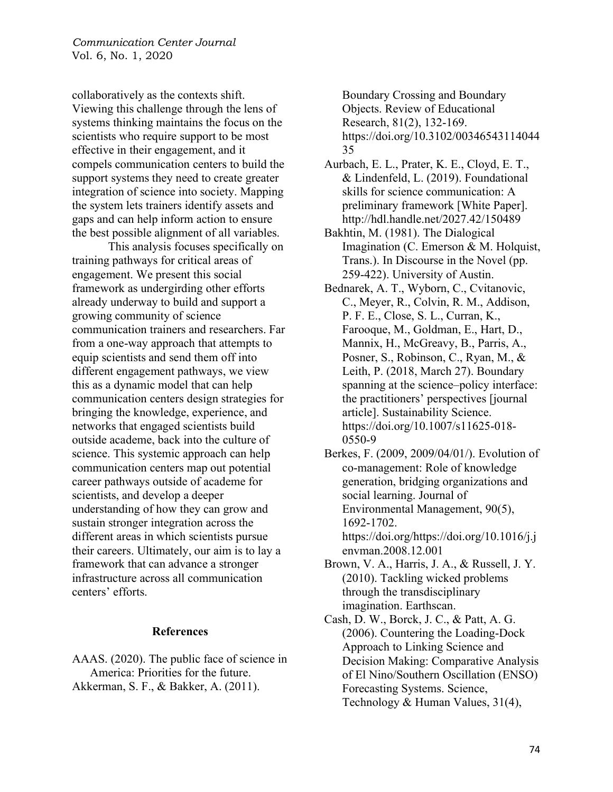collaboratively as the contexts shift. Viewing this challenge through the lens of systems thinking maintains the focus on the scientists who require support to be most effective in their engagement, and it compels communication centers to build the support systems they need to create greater integration of science into society. Mapping the system lets trainers identify assets and gaps and can help inform action to ensure the best possible alignment of all variables.

This analysis focuses specifically on training pathways for critical areas of engagement. We present this social framework as undergirding other efforts already underway to build and support a growing community of science communication trainers and researchers. Far from a one-way approach that attempts to equip scientists and send them off into different engagement pathways, we view this as a dynamic model that can help communication centers design strategies for bringing the knowledge, experience, and networks that engaged scientists build outside academe, back into the culture of science. This systemic approach can help communication centers map out potential career pathways outside of academe for scientists, and develop a deeper understanding of how they can grow and sustain stronger integration across the different areas in which scientists pursue their careers. Ultimately, our aim is to lay a framework that can advance a stronger infrastructure across all communication centers' efforts.

#### **References**

AAAS. (2020). The public face of science in America: Priorities for the future. Akkerman, S. F., & Bakker, A. (2011).

Boundary Crossing and Boundary Objects. Review of Educational Research, 81(2), 132-169. https://doi.org/10.3102/00346543114044 35

- Aurbach, E. L., Prater, K. E., Cloyd, E. T., & Lindenfeld, L. (2019). Foundational skills for science communication: A preliminary framework [White Paper]. http://hdl.handle.net/2027.42/150489
- Bakhtin, M. (1981). The Dialogical Imagination (C. Emerson & M. Holquist, Trans.). In Discourse in the Novel (pp. 259-422). University of Austin.
- Bednarek, A. T., Wyborn, C., Cvitanovic, C., Meyer, R., Colvin, R. M., Addison, P. F. E., Close, S. L., Curran, K., Farooque, M., Goldman, E., Hart, D., Mannix, H., McGreavy, B., Parris, A., Posner, S., Robinson, C., Ryan, M., & Leith, P. (2018, March 27). Boundary spanning at the science–policy interface: the practitioners' perspectives [journal article]. Sustainability Science. https://doi.org/10.1007/s11625-018- 0550-9
- Berkes, F. (2009, 2009/04/01/). Evolution of co-management: Role of knowledge generation, bridging organizations and social learning. Journal of Environmental Management, 90(5), 1692-1702. https://doi.org/https://doi.org/10.1016/j.j envman.2008.12.001
- Brown, V. A., Harris, J. A., & Russell, J. Y. (2010). Tackling wicked problems through the transdisciplinary imagination. Earthscan.
- Cash, D. W., Borck, J. C., & Patt, A. G. (2006). Countering the Loading-Dock Approach to Linking Science and Decision Making: Comparative Analysis of El Nino/Southern Oscillation (ENSO) Forecasting Systems. Science, Technology & Human Values, 31(4),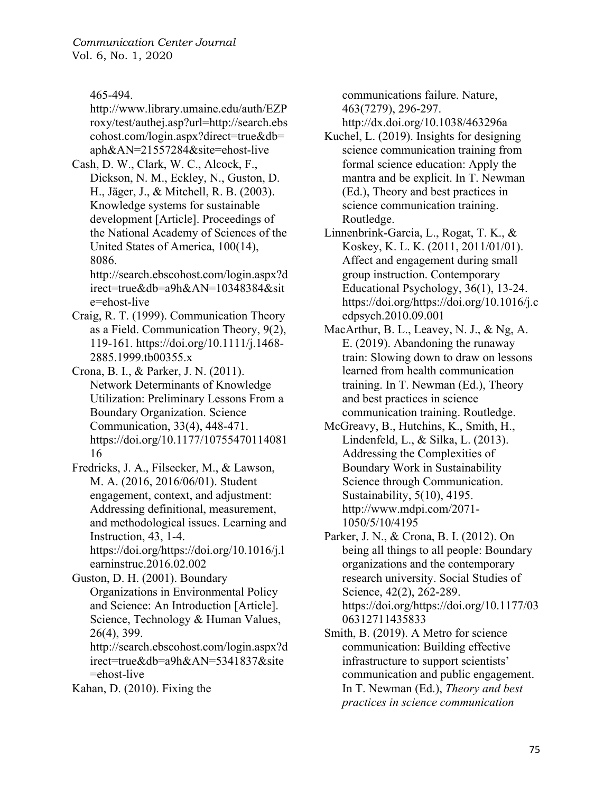465-494.

http://www.library.umaine.edu/auth/EZP roxy/test/authej.asp?url=http://search.ebs cohost.com/login.aspx?direct=true&db= aph&AN=21557284&site=ehost-live

Cash, D. W., Clark, W. C., Alcock, F., Dickson, N. M., Eckley, N., Guston, D. H., Jäger, J., & Mitchell, R. B. (2003). Knowledge systems for sustainable development [Article]. Proceedings of the National Academy of Sciences of the United States of America, 100(14), 8086.

http://search.ebscohost.com/login.aspx?d irect=true&db=a9h&AN=10348384&sit e=ehost-live

Craig, R. T. (1999). Communication Theory as a Field. Communication Theory, 9(2), 119-161. https://doi.org/10.1111/j.1468- 2885.1999.tb00355.x

Crona, B. I., & Parker, J. N. (2011). Network Determinants of Knowledge Utilization: Preliminary Lessons From a Boundary Organization. Science Communication, 33(4), 448-471. https://doi.org/10.1177/10755470114081 16

Fredricks, J. A., Filsecker, M., & Lawson, M. A. (2016, 2016/06/01). Student engagement, context, and adjustment: Addressing definitional, measurement, and methodological issues. Learning and Instruction, 43, 1-4. https://doi.org/https://doi.org/10.1016/j.l

earninstruc.2016.02.002

Guston, D. H. (2001). Boundary Organizations in Environmental Policy and Science: An Introduction [Article]. Science, Technology & Human Values, 26(4), 399.

http://search.ebscohost.com/login.aspx?d irect=true&db=a9h&AN=5341837&site =ehost-live

Kahan, D. (2010). Fixing the

communications failure. Nature, 463(7279), 296-297.

http://dx.doi.org/10.1038/463296a

- Kuchel, L. (2019). Insights for designing science communication training from formal science education: Apply the mantra and be explicit. In T. Newman (Ed.), Theory and best practices in science communication training. Routledge.
- Linnenbrink-Garcia, L., Rogat, T. K., & Koskey, K. L. K. (2011, 2011/01/01). Affect and engagement during small group instruction. Contemporary Educational Psychology, 36(1), 13-24. https://doi.org/https://doi.org/10.1016/j.c edpsych.2010.09.001
- MacArthur, B. L., Leavey, N. J., & Ng, A. E. (2019). Abandoning the runaway train: Slowing down to draw on lessons learned from health communication training. In T. Newman (Ed.), Theory and best practices in science communication training. Routledge.
- McGreavy, B., Hutchins, K., Smith, H., Lindenfeld, L., & Silka, L. (2013). Addressing the Complexities of Boundary Work in Sustainability Science through Communication. Sustainability, 5(10), 4195. http://www.mdpi.com/2071- 1050/5/10/4195
- Parker, J. N., & Crona, B. I. (2012). On being all things to all people: Boundary organizations and the contemporary research university. Social Studies of Science, 42(2), 262-289. https://doi.org/https://doi.org/10.1177/03 06312711435833
- Smith, B. (2019). A Metro for science communication: Building effective infrastructure to support scientists' communication and public engagement. In T. Newman (Ed.), *Theory and best practices in science communication*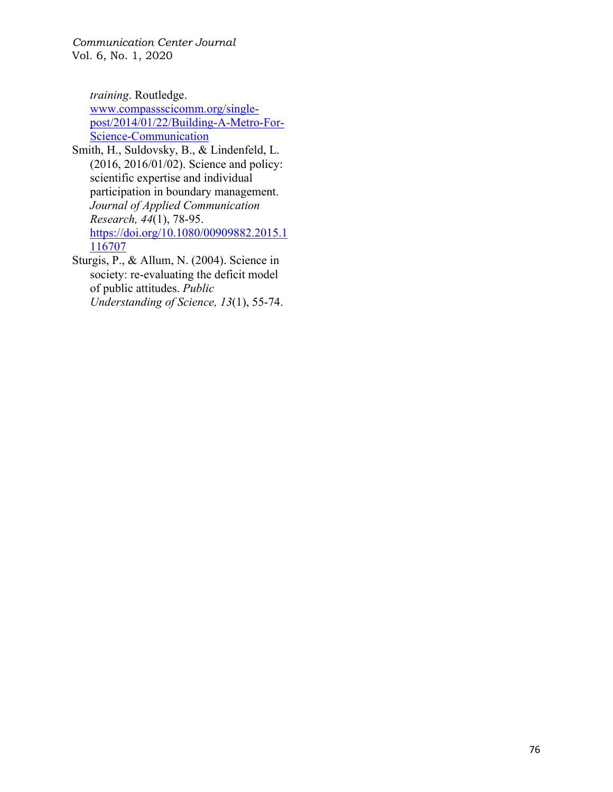*training*. Routledge.

www.compassscicomm.org/singlepost/2014/01/22/Building-A-Metro-For-Science-Communication

- Smith, H., Suldovsky, B., & Lindenfeld, L. (2016, 2016/01/02). Science and policy: scientific expertise and individual participation in boundary management. *Journal of Applied Communication Research, 44*(1), 78-95. https://doi.org/10.1080/00909882.2015.1 116707
- Sturgis, P., & Allum, N. (2004). Science in society: re-evaluating the deficit model of public attitudes. *Public Understanding of Science, 13*(1), 55-74.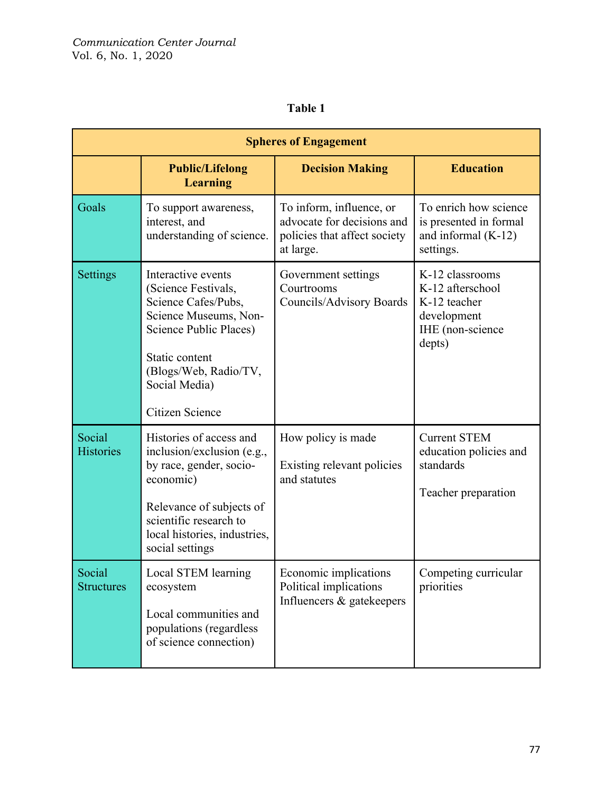# **Table 1**

| <b>Spheres of Engagement</b> |                                                                                                                                                                                                        |                                                                                                     |                                                                                                  |  |
|------------------------------|--------------------------------------------------------------------------------------------------------------------------------------------------------------------------------------------------------|-----------------------------------------------------------------------------------------------------|--------------------------------------------------------------------------------------------------|--|
|                              | <b>Public/Lifelong</b><br><b>Learning</b>                                                                                                                                                              | <b>Decision Making</b>                                                                              | <b>Education</b>                                                                                 |  |
| Goals                        | To support awareness,<br>interest, and<br>understanding of science.                                                                                                                                    | To inform, influence, or<br>advocate for decisions and<br>policies that affect society<br>at large. | To enrich how science<br>is presented in formal<br>and informal $(K-12)$<br>settings.            |  |
| Settings                     | Interactive events<br>(Science Festivals,<br>Science Cafes/Pubs,<br>Science Museums, Non-<br>Science Public Places)<br>Static content<br>(Blogs/Web, Radio/TV,<br>Social Media)<br>Citizen Science     | Government settings<br>Courtrooms<br>Councils/Advisory Boards                                       | K-12 classrooms<br>K-12 afterschool<br>K-12 teacher<br>development<br>IHE (non-science<br>depts) |  |
| Social<br><b>Histories</b>   | Histories of access and<br>inclusion/exclusion (e.g.,<br>by race, gender, socio-<br>economic)<br>Relevance of subjects of<br>scientific research to<br>local histories, industries,<br>social settings | How policy is made<br>Existing relevant policies<br>and statutes                                    | <b>Current STEM</b><br>education policies and<br>standards<br>Teacher preparation                |  |
| Social<br><b>Structures</b>  | Local STEM learning<br>ecosystem<br>Local communities and<br>populations (regardless<br>of science connection)                                                                                         | Economic implications<br>Political implications<br>Influencers & gatekeepers                        | Competing curricular<br>priorities                                                               |  |